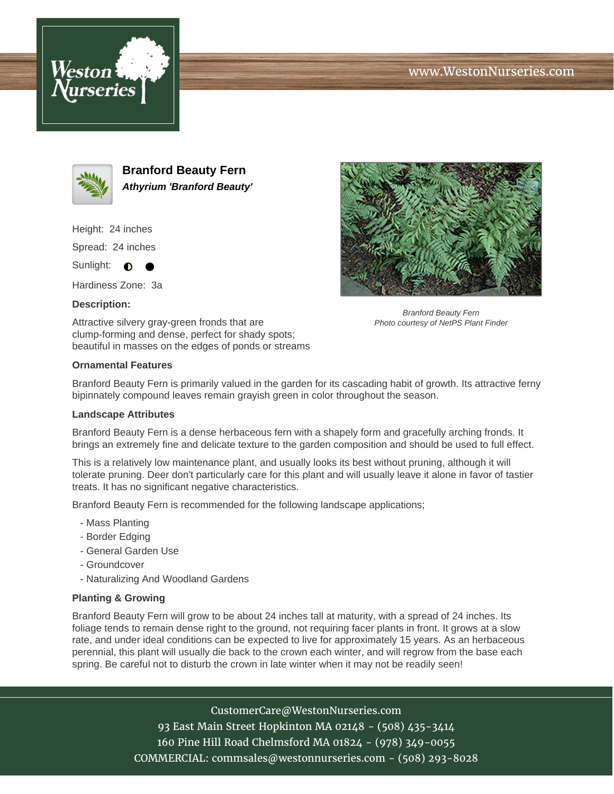





**Branford Beauty Fern Athyrium 'Branford Beauty'**

Height: 24 inches

Spread: 24 inches

Sunlight:  $\bullet$ 

Hardiness Zone: 3a

## **Description:**

Attractive silvery gray-green fronds that are clump-forming and dense, perfect for shady spots; beautiful in masses on the edges of ponds or streams



Branford Beauty Fern Photo courtesy of NetPS Plant Finder

## **Ornamental Features**

Branford Beauty Fern is primarily valued in the garden for its cascading habit of growth. Its attractive ferny bipinnately compound leaves remain grayish green in color throughout the season.

## **Landscape Attributes**

Branford Beauty Fern is a dense herbaceous fern with a shapely form and gracefully arching fronds. It brings an extremely fine and delicate texture to the garden composition and should be used to full effect.

This is a relatively low maintenance plant, and usually looks its best without pruning, although it will tolerate pruning. Deer don't particularly care for this plant and will usually leave it alone in favor of tastier treats. It has no significant negative characteristics.

Branford Beauty Fern is recommended for the following landscape applications;

- Mass Planting
- Border Edging
- General Garden Use
- Groundcover
- Naturalizing And Woodland Gardens

## **Planting & Growing**

Branford Beauty Fern will grow to be about 24 inches tall at maturity, with a spread of 24 inches. Its foliage tends to remain dense right to the ground, not requiring facer plants in front. It grows at a slow rate, and under ideal conditions can be expected to live for approximately 15 years. As an herbaceous perennial, this plant will usually die back to the crown each winter, and will regrow from the base each spring. Be careful not to disturb the crown in late winter when it may not be readily seen!

> CustomerCare@WestonNurseries.com 93 East Main Street Hopkinton MA 02148 - (508) 435-3414 160 Pine Hill Road Chelmsford MA 01824 - (978) 349-0055

COMMERCIAL: commsales@westonnurseries.com - (508) 293-8028